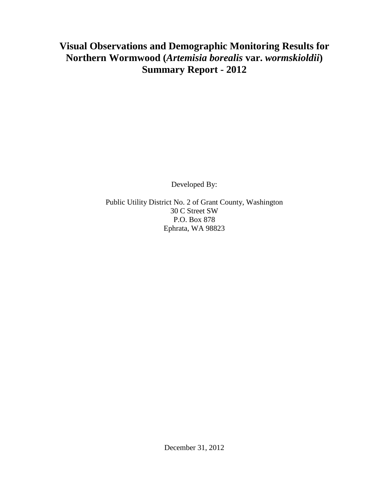## **Visual Observations and Demographic Monitoring Results for Northern Wormwood (***Artemisia borealis* **var.** *wormskioldii***) Summary Report - 2012**

Developed By:

Public Utility District No. 2 of Grant County, Washington 30 C Street SW P.O. Box 878 Ephrata, WA 98823

December 31, 2012